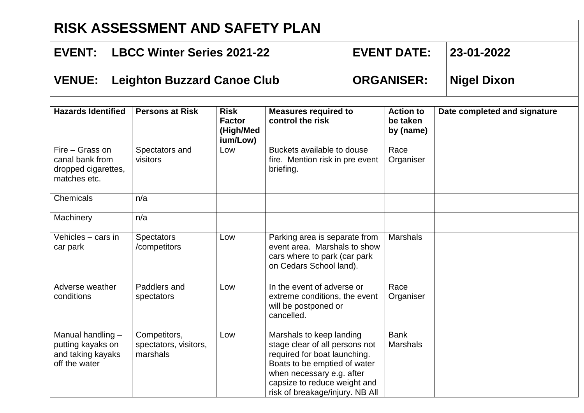| <b>RISK ASSESSMENT AND SAFETY PLAN</b>                                       |  |                                                   |                                                       |                                                                                                                                                                                                                            |                    |                                           |                              |
|------------------------------------------------------------------------------|--|---------------------------------------------------|-------------------------------------------------------|----------------------------------------------------------------------------------------------------------------------------------------------------------------------------------------------------------------------------|--------------------|-------------------------------------------|------------------------------|
| <b>EVENT:</b>                                                                |  | <b>LBCC Winter Series 2021-22</b>                 |                                                       |                                                                                                                                                                                                                            | <b>EVENT DATE:</b> |                                           | 23-01-2022                   |
| <b>VENUE:</b>                                                                |  | <b>Leighton Buzzard Canoe Club</b>                |                                                       |                                                                                                                                                                                                                            | <b>ORGANISER:</b>  |                                           | <b>Nigel Dixon</b>           |
| <b>Hazards Identified</b>                                                    |  | <b>Persons at Risk</b>                            | <b>Risk</b><br><b>Factor</b><br>(High/Med<br>ium/Low) | <b>Measures required to</b><br>control the risk                                                                                                                                                                            |                    | <b>Action to</b><br>be taken<br>by (name) | Date completed and signature |
| Fire - Grass on<br>canal bank from<br>dropped cigarettes,<br>matches etc.    |  | Spectators and<br>visitors                        | Low                                                   | Buckets available to douse<br>fire. Mention risk in pre event<br>briefing.                                                                                                                                                 |                    | Race<br>Organiser                         |                              |
| Chemicals                                                                    |  | n/a                                               |                                                       |                                                                                                                                                                                                                            |                    |                                           |                              |
| Machinery                                                                    |  | n/a                                               |                                                       |                                                                                                                                                                                                                            |                    |                                           |                              |
| Vehicles - cars in<br>car park                                               |  | <b>Spectators</b><br>/competitors                 | Low                                                   | Parking area is separate from<br>event area. Marshals to show<br>cars where to park (car park<br>on Cedars School land).                                                                                                   |                    | <b>Marshals</b>                           |                              |
| Adverse weather<br>conditions                                                |  | Paddlers and<br>spectators                        | Low                                                   | In the event of adverse or<br>extreme conditions, the event<br>will be postponed or<br>cancelled.                                                                                                                          |                    | Race<br>Organiser                         |                              |
| Manual handling -<br>putting kayaks on<br>and taking kayaks<br>off the water |  | Competitors,<br>spectators, visitors,<br>marshals | Low                                                   | Marshals to keep landing<br>stage clear of all persons not<br>required for boat launching.<br>Boats to be emptied of water<br>when necessary e.g. after<br>capsize to reduce weight and<br>risk of breakage/injury. NB All |                    | <b>Bank</b><br><b>Marshals</b>            |                              |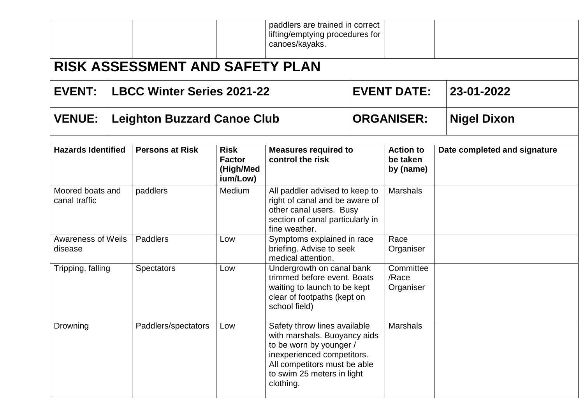|                                      |                                                                                                                                                                                                                                |                                        |                                                       | paddlers are trained in correct<br>lifting/emptying procedures for<br>canoes/kayaks.                                                             |  |                                           |                              |
|--------------------------------------|--------------------------------------------------------------------------------------------------------------------------------------------------------------------------------------------------------------------------------|----------------------------------------|-------------------------------------------------------|--------------------------------------------------------------------------------------------------------------------------------------------------|--|-------------------------------------------|------------------------------|
|                                      |                                                                                                                                                                                                                                | <b>RISK ASSESSMENT AND SAFETY PLAN</b> |                                                       |                                                                                                                                                  |  |                                           |                              |
| <b>EVENT:</b>                        |                                                                                                                                                                                                                                | <b>LBCC Winter Series 2021-22</b>      |                                                       |                                                                                                                                                  |  | <b>EVENT DATE:</b>                        | 23-01-2022                   |
| <b>VENUE:</b>                        |                                                                                                                                                                                                                                | <b>Leighton Buzzard Canoe Club</b>     |                                                       |                                                                                                                                                  |  | <b>ORGANISER:</b>                         | <b>Nigel Dixon</b>           |
| <b>Hazards Identified</b>            |                                                                                                                                                                                                                                | <b>Persons at Risk</b>                 | <b>Risk</b><br><b>Factor</b><br>(High/Med<br>ium/Low) | <b>Measures required to</b><br>control the risk                                                                                                  |  | <b>Action to</b><br>be taken<br>by (name) | Date completed and signature |
| Moored boats and<br>canal traffic    |                                                                                                                                                                                                                                | paddlers                               | Medium                                                | All paddler advised to keep to<br>right of canal and be aware of<br>other canal users. Busy<br>section of canal particularly in<br>fine weather. |  | <b>Marshals</b>                           |                              |
| <b>Awareness of Weils</b><br>disease |                                                                                                                                                                                                                                | Paddlers                               | Low                                                   | Symptoms explained in race<br>briefing. Advise to seek<br>medical attention.                                                                     |  | Race<br>Organiser                         |                              |
| Tripping, falling                    |                                                                                                                                                                                                                                | <b>Spectators</b>                      | Low                                                   | Undergrowth on canal bank<br>trimmed before event. Boats<br>waiting to launch to be kept<br>clear of footpaths (kept on<br>school field)         |  | Committee<br>/Race<br>Organiser           |                              |
| Drowning                             | Safety throw lines available<br>Paddlers/spectators<br>Low<br>with marshals. Buoyancy aids<br>to be worn by younger /<br>inexperienced competitors.<br>All competitors must be able<br>to swim 25 meters in light<br>clothing. |                                        |                                                       | <b>Marshals</b>                                                                                                                                  |  |                                           |                              |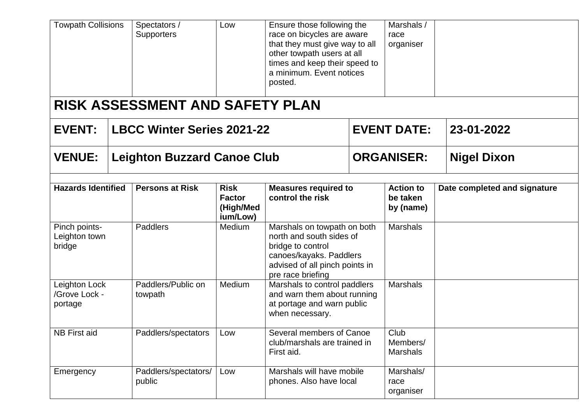| <b>Towpath Collisions</b>                 |  | Spectators /<br>Low<br>Supporters      |                                                       | Ensure those following the<br>race on bicycles are aware<br>that they must give way to all<br>other towpath users at all<br>times and keep their speed to<br>a minimum. Event notices<br>posted. |                   | Marshals /<br>race<br>organiser           |                              |  |
|-------------------------------------------|--|----------------------------------------|-------------------------------------------------------|--------------------------------------------------------------------------------------------------------------------------------------------------------------------------------------------------|-------------------|-------------------------------------------|------------------------------|--|
|                                           |  | <b>RISK ASSESSMENT AND SAFETY PLAN</b> |                                                       |                                                                                                                                                                                                  |                   |                                           |                              |  |
| <b>EVENT:</b>                             |  | <b>LBCC Winter Series 2021-22</b>      |                                                       |                                                                                                                                                                                                  |                   | <b>EVENT DATE:</b>                        | 23-01-2022                   |  |
| <b>VENUE:</b>                             |  | <b>Leighton Buzzard Canoe Club</b>     |                                                       |                                                                                                                                                                                                  | <b>ORGANISER:</b> |                                           | <b>Nigel Dixon</b>           |  |
| <b>Hazards Identified</b>                 |  | <b>Persons at Risk</b>                 | <b>Risk</b><br><b>Factor</b><br>(High/Med<br>ium/Low) | <b>Measures required to</b><br>control the risk                                                                                                                                                  |                   | <b>Action to</b><br>be taken<br>by (name) | Date completed and signature |  |
| Pinch points-<br>Leighton town<br>bridge  |  | <b>Paddlers</b>                        | Medium                                                | Marshals on towpath on both<br>north and south sides of<br>bridge to control<br>canoes/kayaks. Paddlers<br>advised of all pinch points in                                                        |                   | <b>Marshals</b>                           |                              |  |
| Leighton Lock<br>/Grove Lock -<br>portage |  | Paddlers/Public on<br>towpath          | Medium                                                | pre race briefing<br>Marshals to control paddlers<br>and warn them about running<br>at portage and warn public<br>when necessary.                                                                |                   | <b>Marshals</b>                           |                              |  |
| <b>NB First aid</b>                       |  | Paddlers/spectators                    | Low                                                   | Several members of Canoe<br>club/marshals are trained in<br>First aid.                                                                                                                           |                   | Club<br>Members/<br><b>Marshals</b>       |                              |  |
| Emergency                                 |  | Paddlers/spectators/<br>public         | Low                                                   | Marshals will have mobile<br>phones. Also have local                                                                                                                                             |                   | Marshals/<br>race<br>organiser            |                              |  |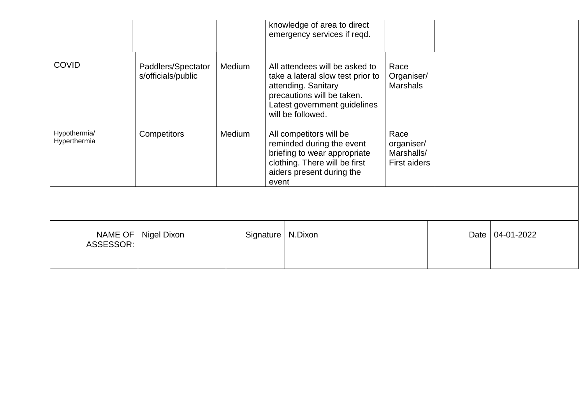|                              |                                          |        |                                                                                                                                                             | knowledge of area to direct<br>emergency services if reqd.                                                                                                                    |                                                  |      |            |
|------------------------------|------------------------------------------|--------|-------------------------------------------------------------------------------------------------------------------------------------------------------------|-------------------------------------------------------------------------------------------------------------------------------------------------------------------------------|--------------------------------------------------|------|------------|
| <b>COVID</b>                 | Paddlers/Spectator<br>s/officials/public | Medium |                                                                                                                                                             | All attendees will be asked to<br>take a lateral slow test prior to<br>attending. Sanitary<br>precautions will be taken.<br>Latest government guidelines<br>will be followed. | Race<br>Organiser/<br><b>Marshals</b>            |      |            |
| Hypothermia/<br>Hyperthermia | Competitors                              | Medium | All competitors will be<br>reminded during the event<br>briefing to wear appropriate<br>clothing. There will be first<br>aiders present during the<br>event |                                                                                                                                                                               | Race<br>organiser/<br>Marshalls/<br>First aiders |      |            |
|                              |                                          |        |                                                                                                                                                             |                                                                                                                                                                               |                                                  |      |            |
| <b>NAME OF</b><br>ASSESSOR:  | Nigel Dixon                              |        | N.Dixon<br>Signature                                                                                                                                        |                                                                                                                                                                               |                                                  | Date | 04-01-2022 |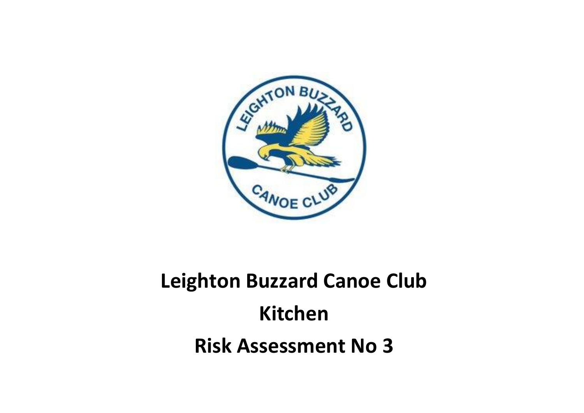

## **Leighton Buzzard Canoe Club Kitchen Risk Assessment No 3**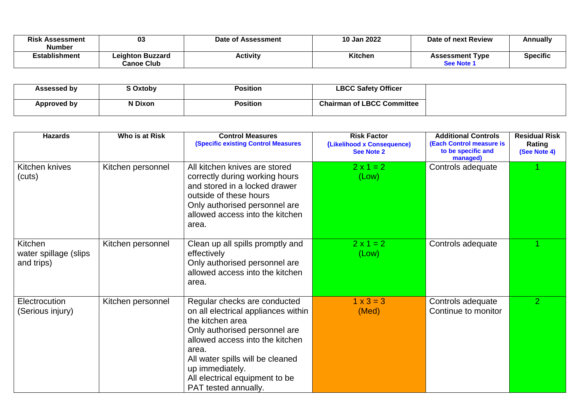| Risk<br><b>Assessment</b><br>Number | 03                                           | Date of Assessment | 10 Jan 2022 | Date of next Review                  | Annually        |
|-------------------------------------|----------------------------------------------|--------------------|-------------|--------------------------------------|-----------------|
| Establishment                       | <b>Leighton Buzzard</b><br><b>Canoe Club</b> | Activity           | Kitchen     | <b>Assessment Type</b><br>See Note 1 | <b>Specific</b> |

| <b>Assessed by</b> | Oxtoby  | Position        | <b>LBCC Safety Officer</b>        |
|--------------------|---------|-----------------|-----------------------------------|
| Approved by        | N Dixon | <b>Position</b> | <b>Chairman of LBCC Committee</b> |

| <b>Hazards</b>                                 | Who is at Risk    | <b>Control Measures</b><br><b>(Specific existing Control Measures)</b>                                                                                                                                                                                                                | <b>Risk Factor</b><br>(Likelihood x Consequence)<br><b>See Note 2</b> | <b>Additional Controls</b><br>(Each Control measure is<br>to be specific and<br>managed) | <b>Residual Risk</b><br>Rating<br>(See Note 4) |
|------------------------------------------------|-------------------|---------------------------------------------------------------------------------------------------------------------------------------------------------------------------------------------------------------------------------------------------------------------------------------|-----------------------------------------------------------------------|------------------------------------------------------------------------------------------|------------------------------------------------|
| Kitchen knives<br>(cuts)                       | Kitchen personnel | All kitchen knives are stored<br>correctly during working hours<br>and stored in a locked drawer<br>outside of these hours<br>Only authorised personnel are<br>allowed access into the kitchen<br>area.                                                                               | $2 \times 1 = 2$<br>(Low)                                             | Controls adequate                                                                        |                                                |
| Kitchen<br>water spillage (slips<br>and trips) | Kitchen personnel | Clean up all spills promptly and<br>effectively<br>Only authorised personnel are<br>allowed access into the kitchen<br>area.                                                                                                                                                          | $2 \times 1 = 2$<br>(Low)                                             | Controls adequate                                                                        |                                                |
| Electrocution<br>(Serious injury)              | Kitchen personnel | Regular checks are conducted<br>on all electrical appliances within<br>the kitchen area<br>Only authorised personnel are<br>allowed access into the kitchen<br>area.<br>All water spills will be cleaned<br>up immediately.<br>All electrical equipment to be<br>PAT tested annually. | $1 \times 3 = 3$<br>(Med)                                             | Controls adequate<br>Continue to monitor                                                 | $\overline{2}$                                 |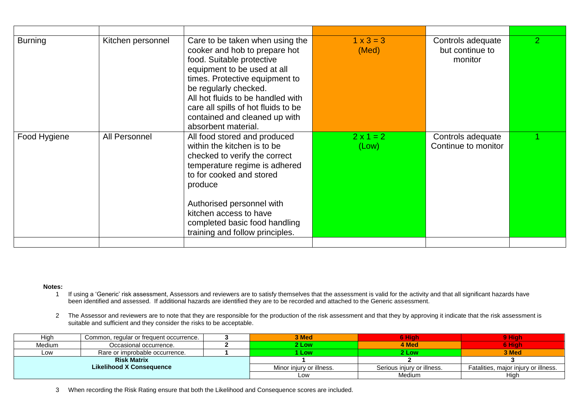| <b>Burning</b> | Kitchen personnel | Care to be taken when using the<br>cooker and hob to prepare hot<br>food. Suitable protective<br>equipment to be used at all<br>times. Protective equipment to<br>be regularly checked.<br>All hot fluids to be handled with<br>care all spills of hot fluids to be<br>contained and cleaned up with<br>absorbent material. | $1 \times 3 = 3$<br>(Med) | Controls adequate<br>but continue to<br>monitor | $\overline{2}$ |
|----------------|-------------------|-----------------------------------------------------------------------------------------------------------------------------------------------------------------------------------------------------------------------------------------------------------------------------------------------------------------------------|---------------------------|-------------------------------------------------|----------------|
| Food Hygiene   | All Personnel     | All food stored and produced<br>within the kitchen is to be<br>checked to verify the correct<br>temperature regime is adhered<br>to for cooked and stored<br>produce<br>Authorised personnel with<br>kitchen access to have<br>completed basic food handling<br>training and follow principles.                             | $2 \times 1 = 2$<br>(Low) | Controls adequate<br>Continue to monitor        |                |
|                |                   |                                                                                                                                                                                                                                                                                                                             |                           |                                                 |                |

**Notes:**

- 1 If using a 'Generic' risk assessment, Assessors and reviewers are to satisfy themselves that the assessment is valid for the activity and that all significant hazards have been identified and assessed. If additional hazards are identified they are to be recorded and attached to the Generic assessment.
- 2 The Assessor and reviewers are to note that they are responsible for the production of the risk assessment and that they by approving it indicate that the risk assessment is suitable and sufficient and they consider the risks to be acceptable.

| High                            | Common, regular or frequent occurrence. |  | <b>3 Med</b>             | 6 Hiah                     | 9 Hiah                               |
|---------------------------------|-----------------------------------------|--|--------------------------|----------------------------|--------------------------------------|
| Medium                          | Occasional occurrence.                  |  | 2 Low                    | 4 Med                      | 3 Hiah                               |
| Low                             | Rare or improbable occurrence.          |  | Low                      | 2 Low                      | 3 Med                                |
|                                 | <b>Risk Matrix</b>                      |  |                          |                            |                                      |
| <b>Likelihood X Consequence</b> |                                         |  | Minor injury or illness. | Serious injury or illness. | Fatalities, major injury or illness. |
|                                 |                                         |  | LOW                      | <b>Medium</b>              | High                                 |

3 When recording the Risk Rating ensure that both the Likelihood and Consequence scores are included.